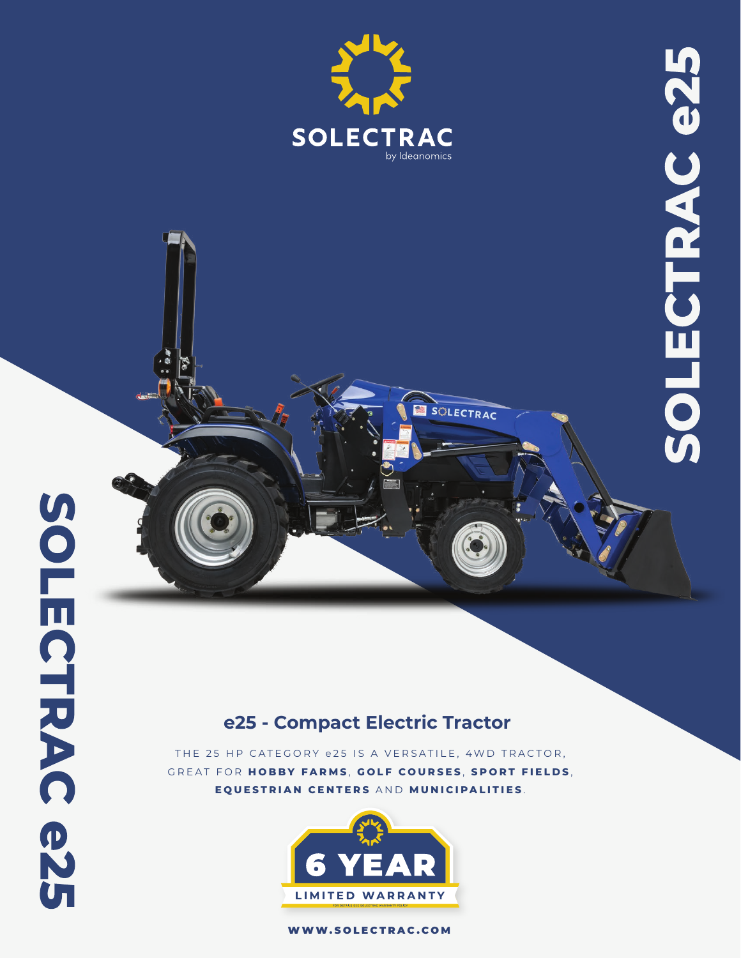

SCILECTRAC

# **e25 - Compact Electric Tractor**

THE 25 HP CATEGORY e25 IS A VERSATILE, 4WD TRACTOR, GREAT FOR **HOBBY FARMS** , **GOLF COURSES** , **SPORT FIELDS** , **EQUESTRIAN CENTERS** AND **MUNICIPALITIES** .



WWW.SOLECTRAC.COM